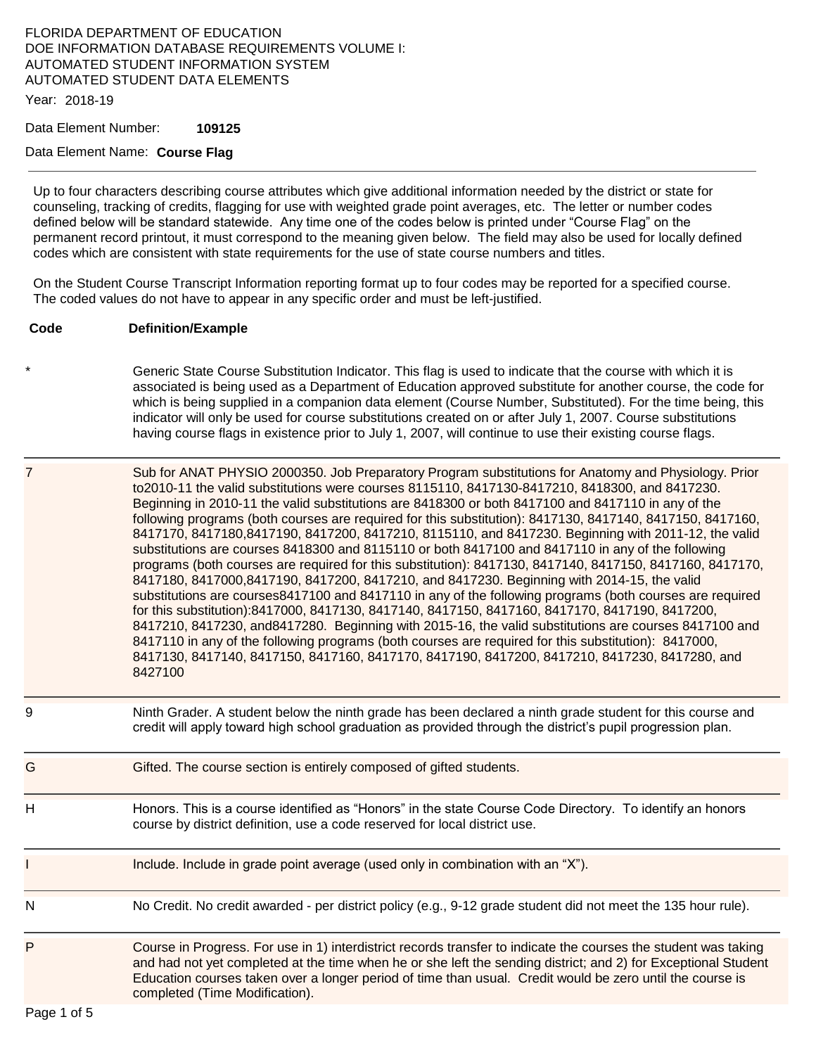## FLORIDA DEPARTMENT OF EDUCATION DOE INFORMATION DATABASE REQUIREMENTS VOLUME I: AUTOMATED STUDENT INFORMATION SYSTEM AUTOMATED STUDENT DATA ELEMENTS

Year: 2018-19

Data Element Number: **109125** 

Data Element Name: **Course Flag** 

Up to four characters describing course attributes which give additional information needed by the district or state for counseling, tracking of credits, flagging for use with weighted grade point averages, etc. The letter or number codes defined below will be standard statewide. Any time one of the codes below is printed under "Course Flag" on the permanent record printout, it must correspond to the meaning given below. The field may also be used for locally defined codes which are consistent with state requirements for the use of state course numbers and titles.

On the Student Course Transcript Information reporting format up to four codes may be reported for a specified course. The coded values do not have to appear in any specific order and must be left-justified.

#### **Code Definition/Example**

Generic State Course Substitution Indicator. This flag is used to indicate that the course with which it is associated is being used as a Department of Education approved substitute for another course, the code for which is being supplied in a companion data element (Course Number, Substituted). For the time being, this indicator will only be used for course substitutions created on or after July 1, 2007. Course substitutions having course flags in existence prior to July 1, 2007, will continue to use their existing course flags.

7 Sub for ANAT PHYSIO 2000350. Job Preparatory Program substitutions for Anatomy and Physiology. Prior to2010-11 the valid substitutions were courses 8115110, 8417130-8417210, 8418300, and 8417230. Beginning in 2010-11 the valid substitutions are 8418300 or both 8417100 and 8417110 in any of the following programs (both courses are required for this substitution): 8417130, 8417140, 8417150, 8417160, 8417170, 8417180,8417190, 8417200, 8417210, 8115110, and 8417230. Beginning with 2011-12, the valid substitutions are courses 8418300 and 8115110 or both 8417100 and 8417110 in any of the following programs (both courses are required for this substitution): 8417130, 8417140, 8417150, 8417160, 8417170, 8417180, 8417000,8417190, 8417200, 8417210, and 8417230. Beginning with 2014-15, the valid substitutions are courses8417100 and 8417110 in any of the following programs (both courses are required for this substitution):8417000, 8417130, 8417140, 8417150, 8417160, 8417170, 8417190, 8417200, 8417210, 8417230, and8417280. Beginning with 2015-16, the valid substitutions are courses 8417100 and 8417110 in any of the following programs (both courses are required for this substitution): 8417000, 8417130, 8417140, 8417150, 8417160, 8417170, 8417190, 8417200, 8417210, 8417230, 8417280, and 8427100

9 Ninth Grader. A student below the ninth grade has been declared a ninth grade student for this course and credit will apply toward high school graduation as provided through the district's pupil progression plan.

| G | Gifted. The course section is entirely composed of gifted students.                                                                                                                                                                                                                                                                                                                                                      |
|---|--------------------------------------------------------------------------------------------------------------------------------------------------------------------------------------------------------------------------------------------------------------------------------------------------------------------------------------------------------------------------------------------------------------------------|
| н | Honors. This is a course identified as "Honors" in the state Course Code Directory. To identify an honors<br>course by district definition, use a code reserved for local district use.                                                                                                                                                                                                                                  |
|   | Include. Include in grade point average (used only in combination with an "X").                                                                                                                                                                                                                                                                                                                                          |
| N | No Credit. No credit awarded - per district policy (e.g., 9-12 grade student did not meet the 135 hour rule).                                                                                                                                                                                                                                                                                                            |
|   | $\mathbf{A} = \mathbf{A} \mathbf{A} + \mathbf{A} \mathbf{A} + \mathbf{A} \mathbf{A} + \mathbf{A} \mathbf{A} + \mathbf{A} \mathbf{A} + \mathbf{A} \mathbf{A} + \mathbf{A} \mathbf{A} + \mathbf{A} \mathbf{A} + \mathbf{A} \mathbf{A} + \mathbf{A} \mathbf{A} + \mathbf{A} \mathbf{A} + \mathbf{A} \mathbf{A} + \mathbf{A} \mathbf{A} + \mathbf{A} \mathbf{A} + \mathbf{A} \mathbf{A} + \mathbf{A} \mathbf{A} + \mathbf{A$ |

Course in Progress. For use in 1) interdistrict records transfer to indicate the courses the student was taking and had not yet completed at the time when he or she left the sending district; and 2) for Exceptional Student Education courses taken over a longer period of time than usual. Credit would be zero until the course is completed (Time Modification).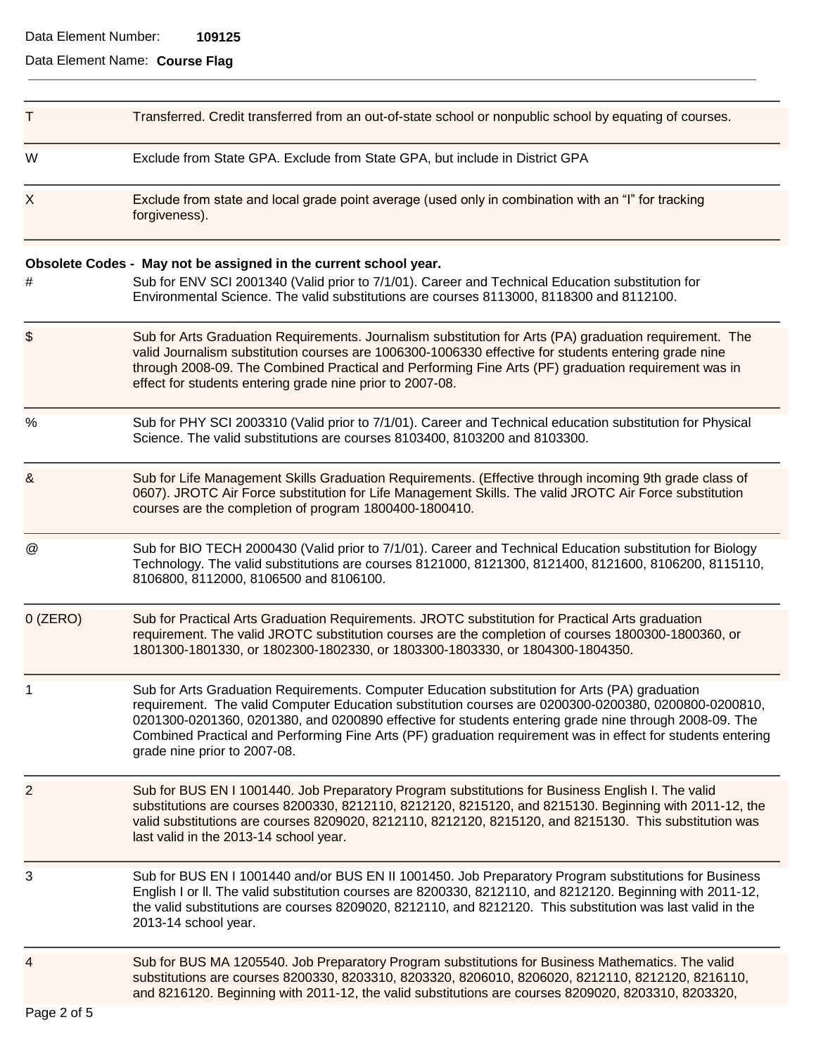#### Data Element Number: **109125**

Data Element Name: **Course Flag** 

| Т             | Transferred. Credit transferred from an out-of-state school or nonpublic school by equating of courses.                                                                                                                                                                                                                                                                                                                                                        |  |
|---------------|----------------------------------------------------------------------------------------------------------------------------------------------------------------------------------------------------------------------------------------------------------------------------------------------------------------------------------------------------------------------------------------------------------------------------------------------------------------|--|
| W             | Exclude from State GPA. Exclude from State GPA, but include in District GPA                                                                                                                                                                                                                                                                                                                                                                                    |  |
| $\mathsf{X}$  | Exclude from state and local grade point average (used only in combination with an "I" for tracking<br>forgiveness).                                                                                                                                                                                                                                                                                                                                           |  |
| #             | Obsolete Codes - May not be assigned in the current school year.<br>Sub for ENV SCI 2001340 (Valid prior to 7/1/01). Career and Technical Education substitution for<br>Environmental Science. The valid substitutions are courses 8113000, 8118300 and 8112100.                                                                                                                                                                                               |  |
| \$            | Sub for Arts Graduation Requirements. Journalism substitution for Arts (PA) graduation requirement. The<br>valid Journalism substitution courses are 1006300-1006330 effective for students entering grade nine<br>through 2008-09. The Combined Practical and Performing Fine Arts (PF) graduation requirement was in<br>effect for students entering grade nine prior to 2007-08.                                                                            |  |
| %             | Sub for PHY SCI 2003310 (Valid prior to 7/1/01). Career and Technical education substitution for Physical<br>Science. The valid substitutions are courses 8103400, 8103200 and 8103300.                                                                                                                                                                                                                                                                        |  |
| &             | Sub for Life Management Skills Graduation Requirements. (Effective through incoming 9th grade class of<br>0607). JROTC Air Force substitution for Life Management Skills. The valid JROTC Air Force substitution<br>courses are the completion of program 1800400-1800410.                                                                                                                                                                                     |  |
| $^\copyright$ | Sub for BIO TECH 2000430 (Valid prior to 7/1/01). Career and Technical Education substitution for Biology<br>Technology. The valid substitutions are courses 8121000, 8121300, 8121400, 8121600, 8106200, 8115110,<br>8106800, 8112000, 8106500 and 8106100.                                                                                                                                                                                                   |  |
| $0$ (ZERO)    | Sub for Practical Arts Graduation Requirements. JROTC substitution for Practical Arts graduation<br>requirement. The valid JROTC substitution courses are the completion of courses 1800300-1800360, or<br>1801300-1801330, or 1802300-1802330, or 1803300-1803330, or 1804300-1804350.                                                                                                                                                                        |  |
| 1             | Sub for Arts Graduation Requirements. Computer Education substitution for Arts (PA) graduation<br>requirement. The valid Computer Education substitution courses are 0200300-0200380, 0200800-0200810,<br>0201300-0201360, 0201380, and 0200890 effective for students entering grade nine through 2008-09. The<br>Combined Practical and Performing Fine Arts (PF) graduation requirement was in effect for students entering<br>grade nine prior to 2007-08. |  |
| 2             | Sub for BUS EN I 1001440. Job Preparatory Program substitutions for Business English I. The valid<br>substitutions are courses 8200330, 8212110, 8212120, 8215120, and 8215130. Beginning with 2011-12, the<br>valid substitutions are courses 8209020, 8212110, 8212120, 8215120, and 8215130. This substitution was<br>last valid in the 2013-14 school year.                                                                                                |  |
| 3             | Sub for BUS EN I 1001440 and/or BUS EN II 1001450. Job Preparatory Program substitutions for Business<br>English I or II. The valid substitution courses are 8200330, 8212110, and 8212120. Beginning with 2011-12,<br>the valid substitutions are courses 8209020, 8212110, and 8212120. This substitution was last valid in the<br>2013-14 school year.                                                                                                      |  |
| 4             | Sub for BUS MA 1205540. Job Preparatory Program substitutions for Business Mathematics. The valid<br>substitutions are courses 8200330, 8203310, 8203320, 8206010, 8206020, 8212110, 8212120, 8216110,<br>and 8216120. Beginning with 2011-12, the valid substitutions are courses 8209020, 8203310, 8203320,                                                                                                                                                  |  |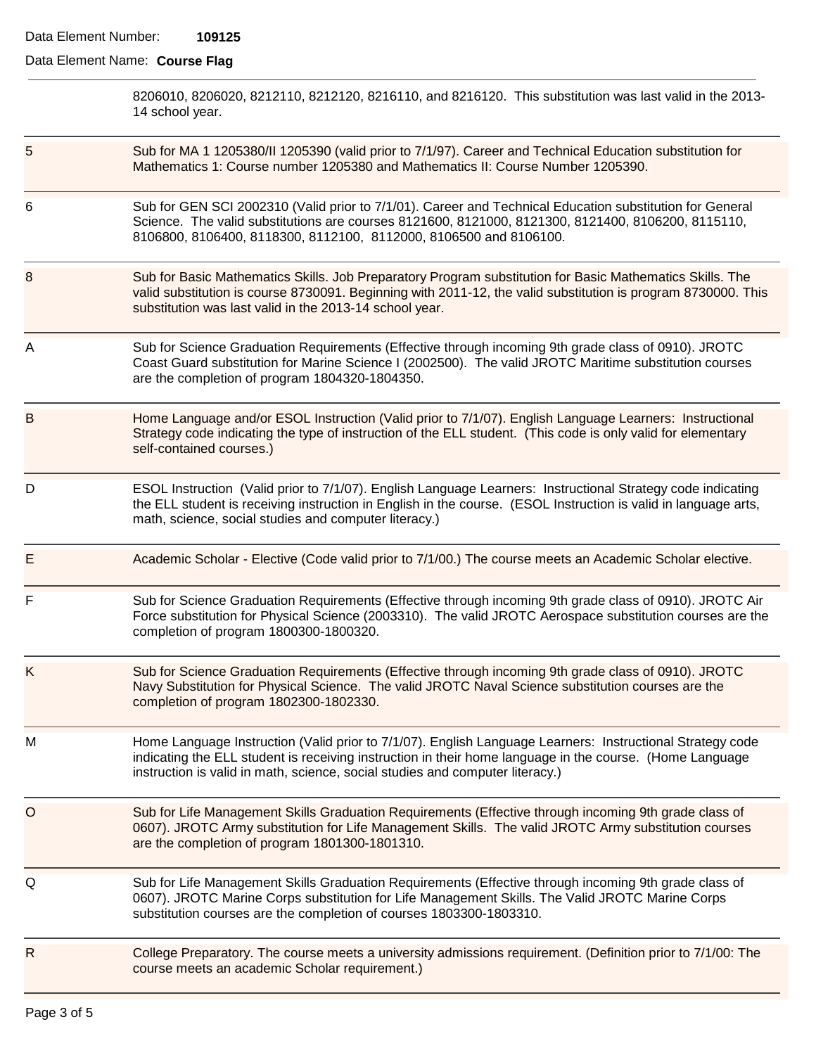#### Data Element Number: **109125**

# Data Element Name: **Course Flag**

|   | 8206010, 8206020, 8212110, 8212120, 8216110, and 8216120. This substitution was last valid in the 2013-<br>14 school year.                                                                                                                                                                             |
|---|--------------------------------------------------------------------------------------------------------------------------------------------------------------------------------------------------------------------------------------------------------------------------------------------------------|
| 5 | Sub for MA 1 1205380/II 1205390 (valid prior to 7/1/97). Career and Technical Education substitution for<br>Mathematics 1: Course number 1205380 and Mathematics II: Course Number 1205390.                                                                                                            |
| 6 | Sub for GEN SCI 2002310 (Valid prior to 7/1/01). Career and Technical Education substitution for General<br>Science. The valid substitutions are courses 8121600, 8121000, 8121300, 8121400, 8106200, 8115110,<br>8106800, 8106400, 8118300, 8112100, 8112000, 8106500 and 8106100.                    |
| 8 | Sub for Basic Mathematics Skills. Job Preparatory Program substitution for Basic Mathematics Skills. The<br>valid substitution is course 8730091. Beginning with 2011-12, the valid substitution is program 8730000. This<br>substitution was last valid in the 2013-14 school year.                   |
| Α | Sub for Science Graduation Requirements (Effective through incoming 9th grade class of 0910). JROTC<br>Coast Guard substitution for Marine Science I (2002500). The valid JROTC Maritime substitution courses<br>are the completion of program 1804320-1804350.                                        |
| B | Home Language and/or ESOL Instruction (Valid prior to 7/1/07). English Language Learners: Instructional<br>Strategy code indicating the type of instruction of the ELL student. (This code is only valid for elementary<br>self-contained courses.)                                                    |
| D | ESOL Instruction (Valid prior to 7/1/07). English Language Learners: Instructional Strategy code indicating<br>the ELL student is receiving instruction in English in the course. (ESOL Instruction is valid in language arts,<br>math, science, social studies and computer literacy.)                |
| E | Academic Scholar - Elective (Code valid prior to 7/1/00.) The course meets an Academic Scholar elective.                                                                                                                                                                                               |
| F | Sub for Science Graduation Requirements (Effective through incoming 9th grade class of 0910). JROTC Air<br>Force substitution for Physical Science (2003310). The valid JROTC Aerospace substitution courses are the<br>completion of program 1800300-1800320.                                         |
| Κ | Sub for Science Graduation Requirements (Effective through incoming 9th grade class of 0910). JROTC<br>Navy Substitution for Physical Science. The valid JROTC Naval Science substitution courses are the<br>completion of program 1802300-1802330.                                                    |
| M | Home Language Instruction (Valid prior to 7/1/07). English Language Learners: Instructional Strategy code<br>indicating the ELL student is receiving instruction in their home language in the course. (Home Language<br>instruction is valid in math, science, social studies and computer literacy.) |
| O | Sub for Life Management Skills Graduation Requirements (Effective through incoming 9th grade class of<br>0607). JROTC Army substitution for Life Management Skills. The valid JROTC Army substitution courses<br>are the completion of program 1801300-1801310.                                        |
| Q | Sub for Life Management Skills Graduation Requirements (Effective through incoming 9th grade class of<br>0607). JROTC Marine Corps substitution for Life Management Skills. The Valid JROTC Marine Corps<br>substitution courses are the completion of courses 1803300-1803310.                        |
| R | College Preparatory. The course meets a university admissions requirement. (Definition prior to 7/1/00: The<br>course meets an academic Scholar requirement.)                                                                                                                                          |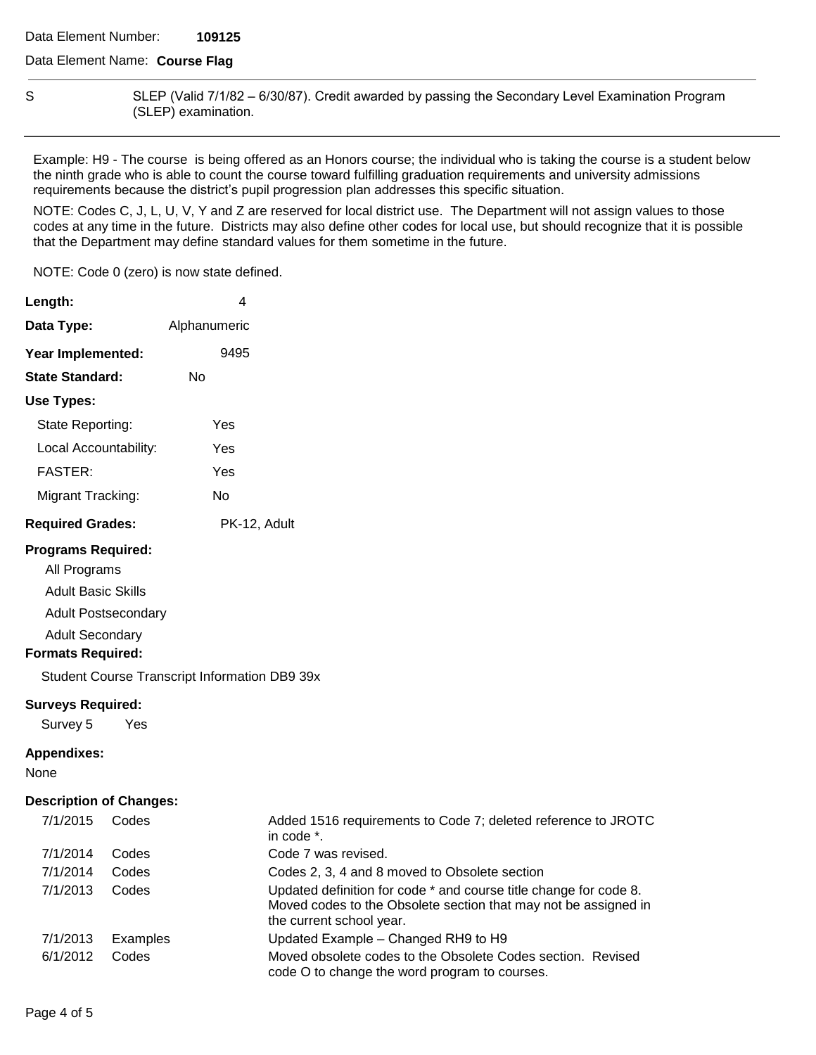### Data Element Name: **Course Flag**

S SLEP (Valid 7/1/82 – 6/30/87). Credit awarded by passing the Secondary Level Examination Program (SLEP) examination.

Example: H9 - The course is being offered as an Honors course; the individual who is taking the course is a student below the ninth grade who is able to count the course toward fulfilling graduation requirements and university admissions requirements because the district's pupil progression plan addresses this specific situation.

NOTE: Codes C, J, L, U, V, Y and Z are reserved for local district use. The Department will not assign values to those codes at any time in the future. Districts may also define other codes for local use, but should recognize that it is possible that the Department may define standard values for them sometime in the future.

NOTE: Code 0 (zero) is now state defined.

| Length:                                   | 4            |
|-------------------------------------------|--------------|
| Data Type:                                | Alphanumeric |
| Year Implemented:                         | 9495         |
| <b>State Standard:</b>                    | No           |
| Use Types:                                |              |
| State Reporting:                          | Yes          |
| Local Accountability:                     | Yes          |
| <b>FASTER:</b>                            | Yes          |
| Migrant Tracking:                         | N٥           |
| <b>Required Grades:</b>                   | PK-12, Adult |
| <b>Programs Required:</b><br>All Programs |              |

Adult Basic Skills

Adult Postsecondary

Adult Secondary

### **Formats Required:**

Student Course Transcript Information DB9 39x

#### **Surveys Required:**

Survey 5 Yes

#### **Appendixes:**

None

### **Description of Changes:**

| 7/1/2015 | Codes    | Added 1516 requirements to Code 7; deleted reference to JROTC<br>in code *.                                                                                      |
|----------|----------|------------------------------------------------------------------------------------------------------------------------------------------------------------------|
| 7/1/2014 | Codes    | Code 7 was revised.                                                                                                                                              |
| 7/1/2014 | Codes    | Codes 2, 3, 4 and 8 moved to Obsolete section                                                                                                                    |
| 7/1/2013 | Codes    | Updated definition for code * and course title change for code 8.<br>Moved codes to the Obsolete section that may not be assigned in<br>the current school year. |
| 7/1/2013 | Examples | Updated Example - Changed RH9 to H9                                                                                                                              |
| 6/1/2012 | Codes    | Moved obsolete codes to the Obsolete Codes section. Revised<br>code O to change the word program to courses.                                                     |